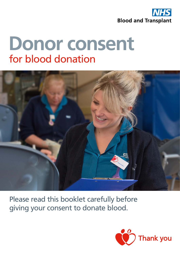

# **Donor consent** for blood donation



Please read this booklet carefully before giving your consent to donate blood.

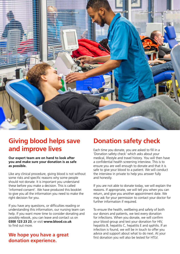

# **Giving blood helps save and improve lives**

**Our expert team are on hand to look after you and make sure your donation is as safe as possible.** 

Like any clinical procedure, giving blood is not without some risks and specific reasons why some people should not donate. It is important you understand these before you make a decision. This is called 'informed consent'. We have produced this booklet to give you all the information you need to make the right decision for you.

If you have any questions, or difficulties reading or understanding this information, our nursing team can help. If you want more time to consider donating and possibly rebook, you can leave and contact us on **0300 123 23 23**, or visit **www.blood.co.uk** to find out more.

# **We hope you have a great donation experience.**

# **Donation safety check**

Each time you donate, you are asked to fill in a 'Donation safety check' which asks about your medical, lifestyle and travel history. You will then have a confidential health screening interview. This is to ensure you are well enough to donate and that it is safe to give your blood to a patient. We will conduct the interview in private to help you answer fully and honestly.

If you are not able to donate today, we will explain the reasons. If appropriate, we will tell you when you can return, and give you another appointment date. We may ask for your permission to contact your doctor for further information if required.

To ensure the health, wellbeing and safety of both our donors and patients, we test every donation for infections. When you donate, we will confirm your blood group and test your donation for HIV, hepatitis B, hepatitis C, hepatitis E and syphilis. If an infection is found, we will be in touch to offer you advice and support about what to do next. At your first donation you will also be tested for HTLV.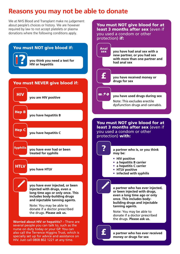# **Reasons you may not be able to donate**

We at NHS Blood and Transplant make no judgement about people's choices or history. We are however required by law to not accept platelets or plasma donations where the following conditions apply.



You must NOT give blood for at least 3 months after sex (even if you used a condom or other protection) if: Anal<br>sex sex **you have had anal sex with a new partner, or you had sex with more than one partner and had anal sex** £ **you have received money or drugs for sex**  $-\theta$  ) **you have used drugs during sex** Note: This excludes erectile dysfunction drugs and cannabis. You must NOT give blood for at least 3 months after sex (even if you used a condom or other protection) with: ? **a partner who is, or you think may be: • HIV positive • a hepatitis B carrier • a hepatitis C carrier • HTLV positive • infected with syphilis a partner who has ever injected, or been injected with drugs, even a long time ago or only once. This includes bodybuilding drugs and injectable tanning agents.** Note: You may be able to donate if a doctor prescribed the drugs. **Please ask us.**

> £ **a partner who has ever received money or drugs for sex**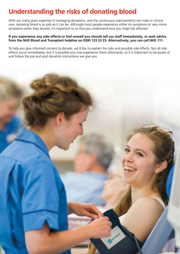# **Understanding the risks of donating blood**

With our many years expertise in managing donations, and the continuous improvements we make in clinical care, donating blood is as safe as it can be. Although most people experience either no symptoms or very minor symptoms when they donate, it's important to us that you understand how you might be affected.

## **If you experience any side effects or feel unwell you should tell our staff immediately, or seek advice from the NHS Blood and Transplant helpline on 0300 123 23 23. Alternatively, you can call NHS 111.**

To help you give informed consent to donate, we'd like to explain the risks and possible side effects. Not all side effects occur immediately, but it is possible you may experience them afterwards, so it is important to be aware of and follow the pre and post donation instructions we give you.

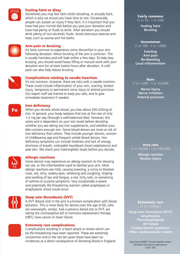

## Feeling faint or dizzy

Sometimes you may feel faint whilst donating, or actually faint, which is why we ensure you have time to rest. Occasionally, people can sustain an injury if they faint. It is important that you have had your normal diet before you give your donation and have had plenty of fluids to drink. After donation you should drink plenty of non-alcoholic fluids. Avoid strenuous exercise and heat, such as saunas and hot baths.



### Arm pain or bruising

It's fairly common to experience some discomfort in your arm following donation. Minor bruising of the arm is common. This is usually harmless and will fade within a few days. To help stop bruising, you should avoid heavy lifting or manual work with your donation arm for at least twelve hours after donation. A cold pack can also help reduce bruising.

### Complications relating to needle insertion

It's not common, however, there are risks with a needle insertion. These could include inflammation of your arm, scarring, tendon injury, temporary or permanent nerve injury or arterial puncture. Our expert staff are trained to keep you safe, and to give immediate treatment if needed.

#### Iron deficiency

When you donate whole blood, you lose about 200-250mg of iron. In general, your body replaces that loss at the rate of only 1-2 mg per day (through a well-balanced diet). However, this varies and is dependent on your iron levels before donating, whether you are taking any iron supplements, and whether your diet contains enough iron. Some blood donors are more at risk of iron deficiency than others. They include younger donors, women of childbearing age and frequent whole blood donors. Iron deficiency symptoms can include tiredness and lack of energy, shortness of breath, noticeable heartbeats (heart palpitations) and pale skin. We check your haemoglobin levels before you donate.



Fe

## Allergic reactions

Some donors may experience an allergy reaction to the dressing we use, or the chlorhexidine used to sterilise your arm. Most allergic reactions are mild, causing sneezing, a runny or blocked nose, red, itchy, watery eyes, wheezing and coughing, tingling and swelling of lips and tongue, a red, itchy rash, or worsening of asthma or eczema symptoms. Very occasionally a severe and potentially life-threatening reaction called anaphylaxis or anaphylactic shock could occur.



# Deep vein thrombosis (DVT)

A DVT (blood clot) in the arm is a known complication with blood donation. This is more likely for donors over the age of 60, who are overweight, smoke, had a previous blood clot or DVT, are taking the contraceptive pill or hormone replacement therapy (HRT), have cancer or heart failure.



### Extremely rare complications

Complications resulting in a heart attack or stroke which can be life-threatening have been reported. These are extremely uncommon and in the last ten years there have been no incidences as a direct consequence of donating blood in England.

Fairly common (1 in 10 - 1 in 100)

> **Feeling faint Bruising**

### Uncommon (1 in 100 - 1 in 1,000)

**Fainting Arm pain Re-bleeding Local inflammation**

**Rare** (1 in 1,000 - 1 in 10,000)

> **Nerve injury Nerve irritation Arterial puncture**

#### Very rare (1 in 10,000 - 1 in 100,000)

**Allergic reaction Tendon injury**

# Extremely rare

**Deep vein thrombosis (DVT) Anaphylaxis Thrombophlebitis AV fistula Compartment syndrome Other cardiovascular events**

Data from NHSBT Clinical Statistics team. 2019/20 Total donor attendance: 1,401,185.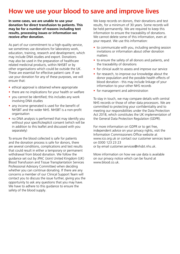# **How we use your blood to save and improve lives**

**In some cases, we are unable to use your donation for direct transfusion to patients. This may be for a number of reasons including test results, processing issues or information we receive after donation.** 

As part of our commitment to a high-quality service, we sometimes use donations for laboratory work, education, training, research and development, which may include DNA studies and export. Donations may also be used in the preparation of healthcare related medicinal products, within NHSBT or by other organisations which could be outside the UK. These are essential for effective patient care. If we use your donation for any of these purposes, we will ensure that:

- ethical approval is obtained where appropriate
- there are no implications for your health or welfare
- you cannot be identified; this includes any work involving DNA studies
- any income generated is used for the benefit of NHSBT and the wider NHS. NHSBT is a non-profit organisation
- no DNA analysis is performed that may identify you without your specific/explicit consent (which will be in addition to this leaflet and discussed with you separately)

To ensure the blood collected is safe for patients and the donation process is safe for donors, there are several conditions, complications and test results that could result in either a temporary or permanent withdrawal from blood donation. We follow the guidance set out by JPAC (Joint United Kingdom (UK) Blood Transfusion and Tissue Transplantation Services Professional Advisory Committee) when deciding whether you can continue donating. If there are any concerns a member of our Clinical Support Team will contact you to discuss the issue further, giving you the opportunity to ask any questions that you may have. We have to adhere to this guidance to ensure the safety of the blood supply.

We keep records on donors, their donations and test results, for a minimum of 30 years. Some records will be held permanently. We are required to keep this information to ensure the traceability of donations. We cannot delete some of this information, even at your request. We use this information:

- to communicate with you, including sending session invitations or information about other donation matters
- to ensure the safety of all donors and patients, and the traceability of donations
- for clinical audit to assess and improve our service
- for research, to improve our knowledge about the donor population and the possible health effects of blood donation - this may include linkage of your information to your other NHS records
- for management and administration

To stay in touch, we may compare details with central NHS records or those of other data processors. We are committed to protecting your confidentiality and to meeting our responsibilities under the Data Protection Act 2018, which constitutes the UK implementation of the General Data Protection Regulation (GDPR).

For more information on GDPR or to get free, independent advice on your privacy rights, visit the Information Commissioners Office website at www.ico.org.uk or contact our customer services team on 0300 123 23 23

or by email customer.services@nhsbt.nhs.uk.

More information on how we use data is available on our privacy notice which can be found at www.blood.co.uk.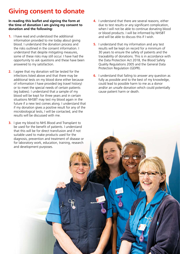# **Giving consent to donate**

### **In reading this leaflet and signing the form at the time of donation I am giving my consent to donation and the following:**

- **1.** I have read and understood the additional information provided to me today about giving blood. I understand the donation process and the risks outlined in the consent information. I understand that despite mitigating measures, some of these risks may still occur. I have had the opportunity to ask questions and these have been answered to my satisfaction.
- **2.** I agree that my donation will be tested for the infections listed above and that there may be additional tests on my blood done either because of information I have provided (eg travel history) or to meet the special needs of certain patients (eg babies). I understand that a sample of my blood will be kept for three years and in certain situations NHSBT may test my blood again in the future if a new test comes along. I understand that if my donation gives a positive result for any of the microbiological tests, I will be contacted, and the results will be discussed with me.
- **3.** I give my blood to NHS Blood and Transplant to be used for the benefit of patients. I understand that this will be for direct transfusion and if not suitable used to make products used for the diagnosis, prevention and treatment of disease or for laboratory work, education, training, research and development purposes.
- **4.** I understand that there are several reasons, either due to test results or any significant complication, when I will not be able to continue donating blood or blood products. I will be informed by NHSBT and will be able to discuss this if I wish.
- **5.** I understand that my information and any test results will be kept on record for a minimum of 30 years to ensure the safety of patients and the traceability of donations. This is in accordance with the Data Protection Act 2018, the Blood Safety Quality Regulations 2005 and the General Data Protection Regulation (GDPR).
- **6.** I understand that failing to answer any question as fully as possible and to the best of my knowledge, could lead to possible harm to me as a donor and/or an unsafe donation which could potentially cause patient harm or death.